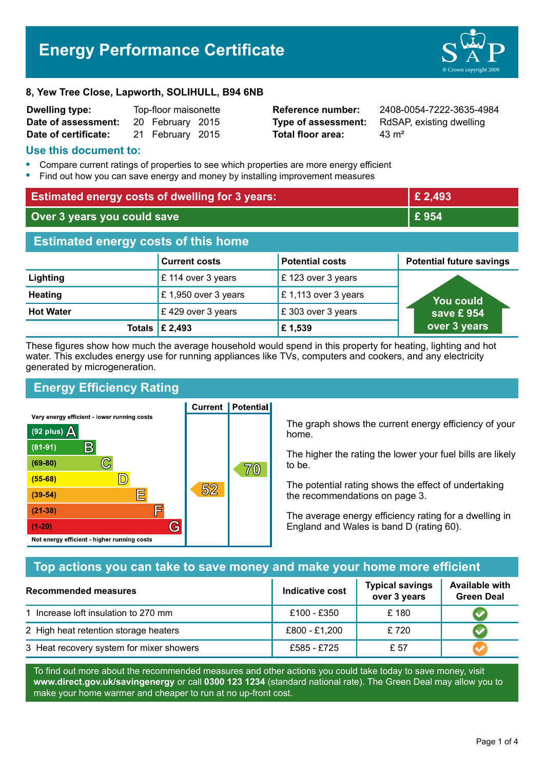# **Energy Performance Certificate**



#### **8, Yew Tree Close, Lapworth, SOLIHULL, B94 6NB**

| <b>Dwelling type:</b> | Top-floor maisonette |                  |  |
|-----------------------|----------------------|------------------|--|
| Date of assessment:   |                      | 20 February 2015 |  |
| Date of certificate:  |                      | 21 February 2015 |  |

**Total floor area:** 43 m<sup>2</sup>

**Reference number:** 2408-0054-7222-3635-4984 **Type of assessment:** RdSAP, existing dwelling

#### **Use this document to:**

- **•** Compare current ratings of properties to see which properties are more energy efficient
- **•** Find out how you can save energy and money by installing improvement measures

| <b>Estimated energy costs of dwelling for 3 years:</b> |                      |                        | £ 2,493                         |  |
|--------------------------------------------------------|----------------------|------------------------|---------------------------------|--|
| Over 3 years you could save                            |                      | £954                   |                                 |  |
| <b>Estimated energy costs of this home</b>             |                      |                        |                                 |  |
|                                                        | <b>Current costs</b> | <b>Potential costs</b> | <b>Potential future savings</b> |  |
| Lighting                                               | £ 114 over 3 years   | £123 over 3 years      |                                 |  |
| <b>Heating</b>                                         | £1,950 over 3 years  | £1,113 over 3 years    | <b>You could</b>                |  |
| <b>Hot Water</b>                                       | £429 over 3 years    | £303 over 3 years      | save £954                       |  |
| Totals                                                 | £ 2,493              | £1,539                 | over 3 years                    |  |

These figures show how much the average household would spend in this property for heating, lighting and hot water. This excludes energy use for running appliances like TVs, computers and cookers, and any electricity generated by microgeneration.

# **Energy Efficiency Rating**

**Current | Potential** 



The graph shows the current energy efficiency of your home.

The higher the rating the lower your fuel bills are likely to be.

The potential rating shows the effect of undertaking the recommendations on page 3.

The average energy efficiency rating for a dwelling in England and Wales is band D (rating 60).

# **Top actions you can take to save money and make your home more efficient**

| Recommended measures                     | Indicative cost | <b>Typical savings</b><br>over 3 years | <b>Available with</b><br><b>Green Deal</b> |
|------------------------------------------|-----------------|----------------------------------------|--------------------------------------------|
| 1 Increase loft insulation to 270 mm     | £100 - £350     | £180                                   |                                            |
| 2 High heat retention storage heaters    | £800 - £1,200   | £720                                   |                                            |
| 3 Heat recovery system for mixer showers | £585 - £725     | £ 57                                   |                                            |

To find out more about the recommended measures and other actions you could take today to save money, visit **www.direct.gov.uk/savingenergy** or call **0300 123 1234** (standard national rate). The Green Deal may allow you to make your home warmer and cheaper to run at no up-front cost.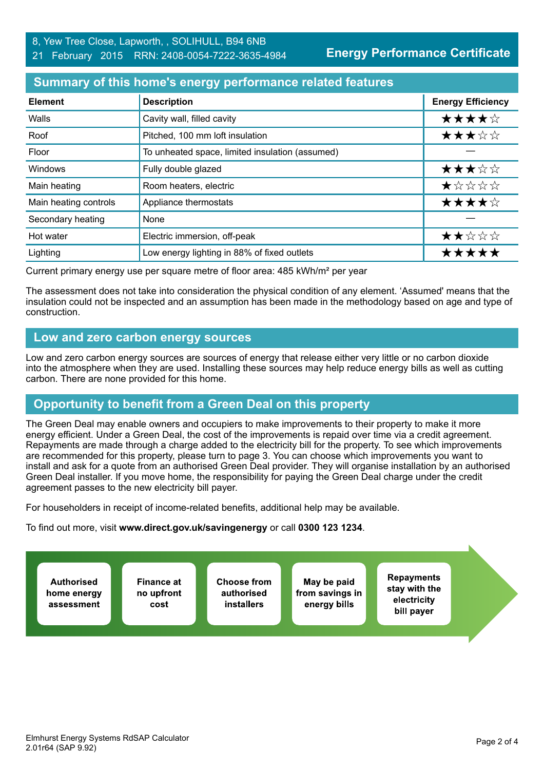**Energy Performance Certificate**

## **Summary of this home's energy performance related features**

| <b>Element</b>        | <b>Description</b>                              | <b>Energy Efficiency</b> |
|-----------------------|-------------------------------------------------|--------------------------|
| Walls                 | Cavity wall, filled cavity                      | ★★★★☆                    |
| Roof                  | Pitched, 100 mm loft insulation                 | ★★★☆☆                    |
| Floor                 | To unheated space, limited insulation (assumed) |                          |
| Windows               | Fully double glazed                             | ★★★☆☆                    |
| Main heating          | Room heaters, electric                          | *****                    |
| Main heating controls | Appliance thermostats                           | ★★★★☆                    |
| Secondary heating     | None                                            |                          |
| Hot water             | Electric immersion, off-peak                    | ★★☆☆☆                    |
| Lighting              | Low energy lighting in 88% of fixed outlets     | *****                    |

Current primary energy use per square metre of floor area: 485 kWh/m² per year

The assessment does not take into consideration the physical condition of any element. 'Assumed' means that the insulation could not be inspected and an assumption has been made in the methodology based on age and type of construction.

## **Low and zero carbon energy sources**

Low and zero carbon energy sources are sources of energy that release either very little or no carbon dioxide into the atmosphere when they are used. Installing these sources may help reduce energy bills as well as cutting carbon. There are none provided for this home.

# **Opportunity to benefit from a Green Deal on this property**

The Green Deal may enable owners and occupiers to make improvements to their property to make it more energy efficient. Under a Green Deal, the cost of the improvements is repaid over time via a credit agreement. Repayments are made through a charge added to the electricity bill for the property. To see which improvements are recommended for this property, please turn to page 3. You can choose which improvements you want to install and ask for a quote from an authorised Green Deal provider. They will organise installation by an authorised Green Deal installer. If you move home, the responsibility for paying the Green Deal charge under the credit agreement passes to the new electricity bill payer.

For householders in receipt of income-related benefits, additional help may be available.

To find out more, visit **www.direct.gov.uk/savingenergy** or call **0300 123 1234**.

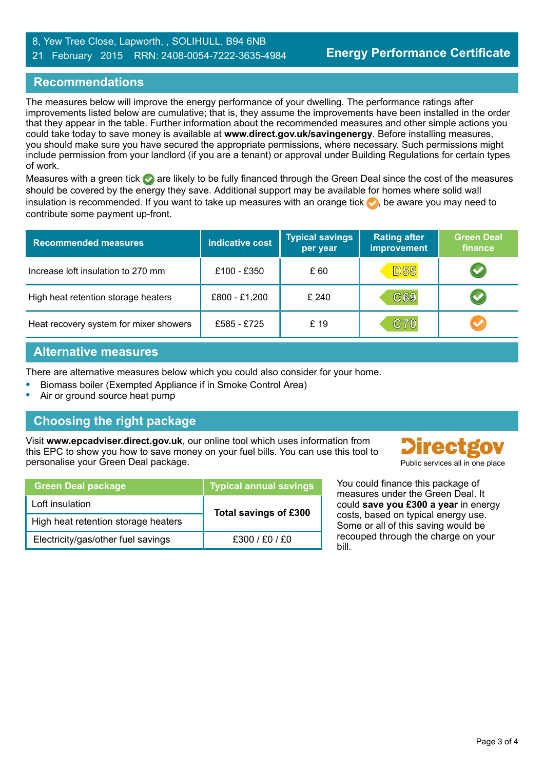#### 8, Yew Tree Close, Lapworth, , SOLIHULL, B94 6NB 21 February 2015 RRN: 2408-0054-7222-3635-4984

# **Recommendations**

The measures below will improve the energy performance of your dwelling. The performance ratings after improvements listed below are cumulative; that is, they assume the improvements have been installed in the order that they appear in the table. Further information about the recommended measures and other simple actions you could take today to save money is available at **www.direct.gov.uk/savingenergy**. Before installing measures, you should make sure you have secured the appropriate permissions, where necessary. Such permissions might include permission from your landlord (if you are a tenant) or approval under Building Regulations for certain types of work.

Measures with a green tick are likely to be fully financed through the Green Deal since the cost of the measures should be covered by the energy they save. Additional support may be available for homes where solid wall insulation is recommended. If you want to take up measures with an orange tick  $\bullet$ , be aware you may need to contribute some payment up-front.

| <b>Recommended measures</b>            | <b>Indicative cost</b> | <b>Typical savings</b><br>per year | <b>Rating after</b><br><b>improvement</b> | <b>Green Deal</b><br>finance |
|----------------------------------------|------------------------|------------------------------------|-------------------------------------------|------------------------------|
| Increase loft insulation to 270 mm     | £100 - £350            | £ 60                               | <b>D55</b>                                | $\blacktriangledown$         |
| High heat retention storage heaters    | £800 - £1,200          | £240                               | C69                                       | V                            |
| Heat recovery system for mixer showers | £585 - £725            | £19                                | <b>C70</b>                                | Ø                            |

## **Alternative measures**

There are alternative measures below which you could also consider for your home.

- **•** Biomass boiler (Exempted Appliance if in Smoke Control Area)
- **•** Air or ground source heat pump

# **Choosing the right package**

Visit **www.epcadviser.direct.gov.uk**, our online tool which uses information from this EPC to show you how to save money on your fuel bills. You can use this tool to personalise your Green Deal package. **Public services all in one place** provided by a public services all in one place

| <b>Green Deal package</b>           | <b>Typical annual savings</b> |  |
|-------------------------------------|-------------------------------|--|
| Loft insulation                     | Total savings of £300         |  |
| High heat retention storage heaters |                               |  |
| Electricity/gas/other fuel savings  | £300 / £0 / £0                |  |

**Directgov** 

You could finance this package of measures under the Green Deal. It could **save you £300 a year** in energy costs, based on typical energy use. Some or all of this saving would be recouped through the charge on your bill.